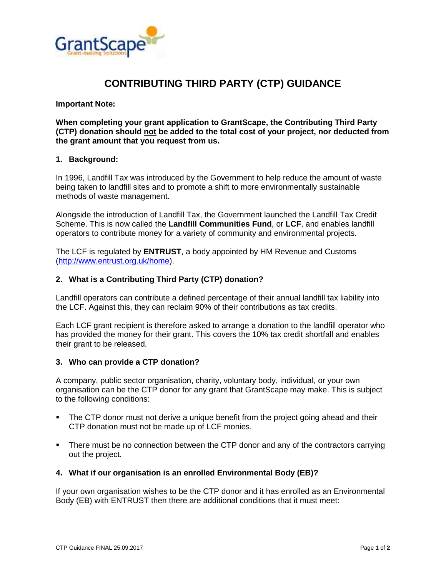

# **CONTRIBUTING THIRD PARTY (CTP) GUIDANCE**

### **Important Note:**

**When completing your grant application to GrantScape, the Contributing Third Party (CTP) donation should not be added to the total cost of your project, nor deducted from the grant amount that you request from us.**

#### **1. Background:**

In 1996, Landfill Tax was introduced by the Government to help reduce the amount of waste being taken to landfill sites and to promote a shift to more environmentally sustainable methods of waste management.

Alongside the introduction of Landfill Tax, the Government launched the Landfill Tax Credit Scheme. This is now called the **Landfill Communities Fund**, or **LCF**, and enables landfill operators to contribute money for a variety of community and environmental projects.

The LCF is regulated by **ENTRUST**, a body appointed by HM Revenue and Customs [\(http://www.entrust.org.uk/home\)](http://www.entrust.org.uk/home).

### **2. What is a Contributing Third Party (CTP) donation?**

Landfill operators can contribute a defined percentage of their annual landfill tax liability into the LCF. Against this, they can reclaim 90% of their contributions as tax credits.

Each LCF grant recipient is therefore asked to arrange a donation to the landfill operator who has provided the money for their grant. This covers the 10% tax credit shortfall and enables their grant to be released.

### **3. Who can provide a CTP donation?**

A company, public sector organisation, charity, voluntary body, individual, or your own organisation can be the CTP donor for any grant that GrantScape may make. This is subject to the following conditions:

- The CTP donor must not derive a unique benefit from the project going ahead and their CTP donation must not be made up of LCF monies.
- There must be no connection between the CTP donor and any of the contractors carrying out the project.

### **4. What if our organisation is an enrolled Environmental Body (EB)?**

If your own organisation wishes to be the CTP donor and it has enrolled as an Environmental Body (EB) with ENTRUST then there are additional conditions that it must meet: